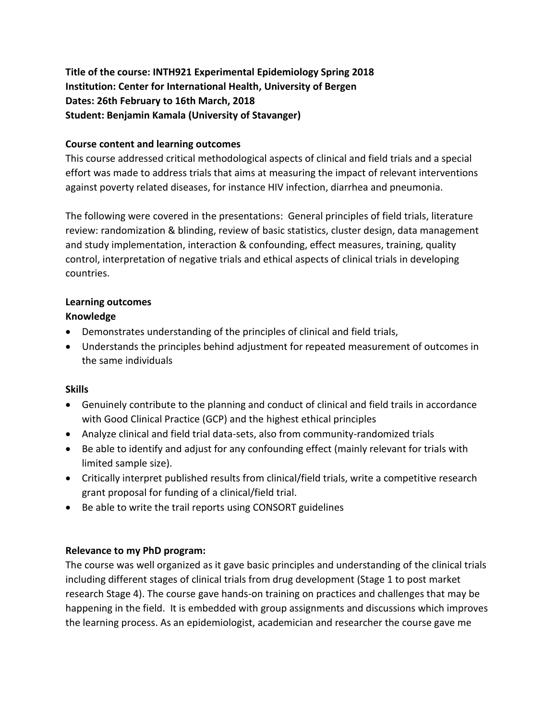**Title of the course: INTH921 Experimental Epidemiology Spring 2018 Institution: Center for International Health, University of Bergen Dates: 26th February to 16th March, 2018 Student: Benjamin Kamala (University of Stavanger)**

### **Course content and learning outcomes**

This course addressed critical methodological aspects of clinical and field trials and a special effort was made to address trials that aims at measuring the impact of relevant interventions against poverty related diseases, for instance HIV infection, diarrhea and pneumonia.

The following were covered in the presentations: General principles of field trials, literature review: randomization & blinding, review of basic statistics, cluster design, data management and study implementation, interaction & confounding, effect measures, training, quality control, interpretation of negative trials and ethical aspects of clinical trials in developing countries.

# **Learning outcomes**

## **Knowledge**

- Demonstrates understanding of the principles of clinical and field trials,
- Understands the principles behind adjustment for repeated measurement of outcomes in the same individuals

## **Skills**

- Genuinely contribute to the planning and conduct of clinical and field trails in accordance with Good Clinical Practice (GCP) and the highest ethical principles
- Analyze clinical and field trial data-sets, also from community-randomized trials
- Be able to identify and adjust for any confounding effect (mainly relevant for trials with limited sample size).
- Critically interpret published results from clinical/field trials, write a competitive research grant proposal for funding of a clinical/field trial.
- Be able to write the trail reports using CONSORT guidelines

## **Relevance to my PhD program:**

The course was well organized as it gave basic principles and understanding of the clinical trials including different stages of clinical trials from drug development (Stage 1 to post market research Stage 4). The course gave hands-on training on practices and challenges that may be happening in the field. It is embedded with group assignments and discussions which improves the learning process. As an epidemiologist, academician and researcher the course gave me